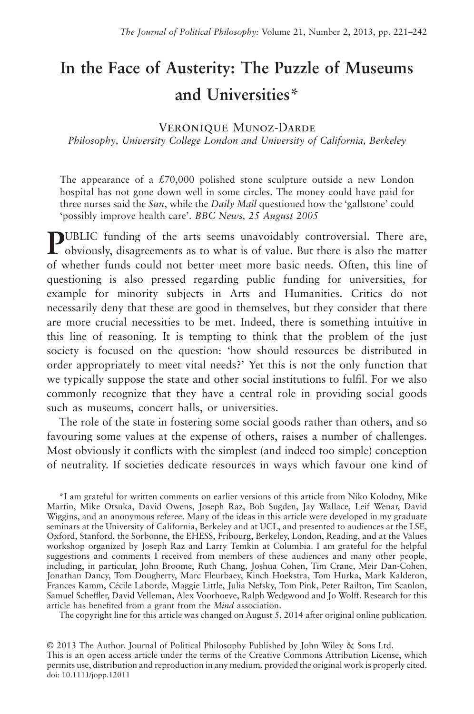# **In the Face of Austerity: The Puzzle of Museums and Universities\***

## Veronique Munoz-Darde

*Philosophy, University College London and University of California, Berkeley*

The appearance of a  $£70,000$  polished stone sculpture outside a new London hospital has not gone down well in some circles. The money could have paid for three nurses said the *Sun*, while the *Daily Mail* questioned how the 'gallstone' could 'possibly improve health care'. *BBC News, 25 August 2005*

**PUBLIC** funding of the arts seems unavoidably controversial. There are, obviously, disagreements as to what is of value. But there is also the matter of whether funds could not better meet more basic needs. Often, this line of questioning is also pressed regarding public funding for universities, for example for minority subjects in Arts and Humanities. Critics do not necessarily deny that these are good in themselves, but they consider that there are more crucial necessities to be met. Indeed, there is something intuitive in this line of reasoning. It is tempting to think that the problem of the just society is focused on the question: 'how should resources be distributed in order appropriately to meet vital needs?' Yet this is not the only function that we typically suppose the state and other social institutions to fulfil. For we also commonly recognize that they have a central role in providing social goods such as museums, concert halls, or universities.

The role of the state in fostering some social goods rather than others, and so favouring some values at the expense of others, raises a number of challenges. Most obviously it conflicts with the simplest (and indeed too simple) conception of neutrality. If societies dedicate resources in ways which favour one kind of

\*I am grateful for written comments on earlier versions of this article from Niko Kolodny, Mike Martin, Mike Otsuka, David Owens, Joseph Raz, Bob Sugden, Jay Wallace, Leif Wenar, David Wiggins, and an anonymous referee. Many of the ideas in this article were developed in my graduate seminars at the University of California, Berkeley and at UCL, and presented to audiences at the LSE, Oxford, Stanford, the Sorbonne, the EHESS, Fribourg, Berkeley, London, Reading, and at the Values workshop organized by Joseph Raz and Larry Temkin at Columbia. I am grateful for the helpful suggestions and comments I received from members of these audiences and many other people, including, in particular, John Broome, Ruth Chang, Joshua Cohen, Tim Crane, Meir Dan-Cohen, Jonathan Dancy, Tom Dougherty, Marc Fleurbaey, Kinch Hoekstra, Tom Hurka, Mark Kalderon, Frances Kamm, Cécile Laborde, Maggie Little, Julia Nefsky, Tom Pink, Peter Railton, Tim Scanlon, Samuel Scheffler, David Velleman, Alex Voorhoeve, Ralph Wedgwood and Jo Wolff. Research for this article has benefited from a grant from the *Mind* association.

The copyright line for this article was changed on August 5, 2014 after original online publication.

© 2013 The Author. Journal of Political Philosophy Published by John Wiley & Sons Ltd. This is an open access article under the terms of the Creative Commons Attribution License, which permits use, distribution and reproduction in any medium, provided the original work is properly cited. doi: 10.1111/jopp.12011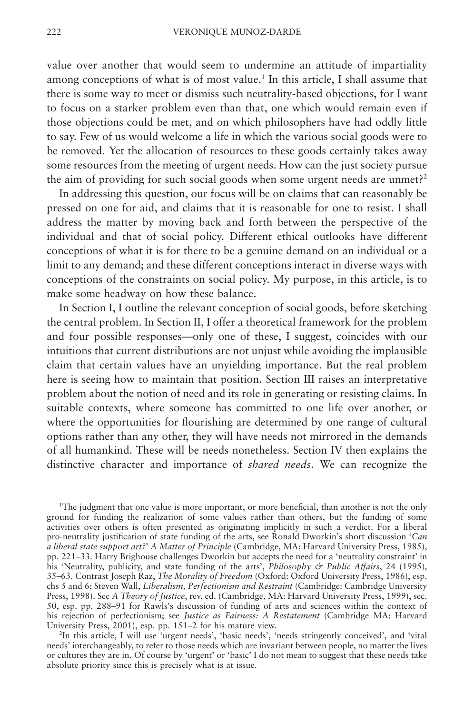value over another that would seem to undermine an attitude of impartiality among conceptions of what is of most value.<sup>1</sup> In this article, I shall assume that there is some way to meet or dismiss such neutrality-based objections, for I want to focus on a starker problem even than that, one which would remain even if those objections could be met, and on which philosophers have had oddly little to say. Few of us would welcome a life in which the various social goods were to be removed. Yet the allocation of resources to these goods certainly takes away some resources from the meeting of urgent needs. How can the just society pursue the aim of providing for such social goods when some urgent needs are unmet?<sup>2</sup>

In addressing this question, our focus will be on claims that can reasonably be pressed on one for aid, and claims that it is reasonable for one to resist. I shall address the matter by moving back and forth between the perspective of the individual and that of social policy. Different ethical outlooks have different conceptions of what it is for there to be a genuine demand on an individual or a limit to any demand; and these different conceptions interact in diverse ways with conceptions of the constraints on social policy. My purpose, in this article, is to make some headway on how these balance.

In Section I, I outline the relevant conception of social goods, before sketching the central problem. In Section II, I offer a theoretical framework for the problem and four possible responses—only one of these, I suggest, coincides with our intuitions that current distributions are not unjust while avoiding the implausible claim that certain values have an unyielding importance. But the real problem here is seeing how to maintain that position. Section III raises an interpretative problem about the notion of need and its role in generating or resisting claims. In suitable contexts, where someone has committed to one life over another, or where the opportunities for flourishing are determined by one range of cultural options rather than any other, they will have needs not mirrored in the demands of all humankind. These will be needs nonetheless. Section IV then explains the distinctive character and importance of *shared needs*. We can recognize the

1 The judgment that one value is more important, or more beneficial, than another is not the only ground for funding the realization of some values rather than others, but the funding of some activities over others is often presented as originating implicitly in such a verdict. For a liberal pro-neutrality justification of state funding of the arts, see Ronald Dworkin's short discussion '*Can a liberal state support art?*' *A Matter of Principle* (Cambridge, MA: Harvard University Press, 1985), pp. 221–33. Harry Brighouse challenges Dworkin but accepts the need for a 'neutrality constraint' in his 'Neutrality, publicity, and state funding of the arts', *Philosophy & Public Affairs*, 24 (1995), 35–63. Contrast Joseph Raz, *The Morality of Freedom* (Oxford: Oxford University Press, 1986), esp. chs 5 and 6; Steven Wall, *Liberalism, Perfectionism and Restraint* (Cambridge: Cambridge University Press, 1998). See *A Theory of Justice*, rev. ed. (Cambridge, MA: Harvard University Press, 1999), sec. 50, esp. pp. 288–91 for Rawls's discussion of funding of arts and sciences within the context of his rejection of perfectionism; see *Justice as Fairness: A Restatement* (Cambridge MA: Harvard University Press, 2001), esp. pp. 151–2 for his mature view.

2 In this article, I will use 'urgent needs', 'basic needs', 'needs stringently conceived', and 'vital needs' interchangeably, to refer to those needs which are invariant between people, no matter the lives or cultures they are in. Of course by 'urgent' or 'basic' I do not mean to suggest that these needs take absolute priority since this is precisely what is at issue.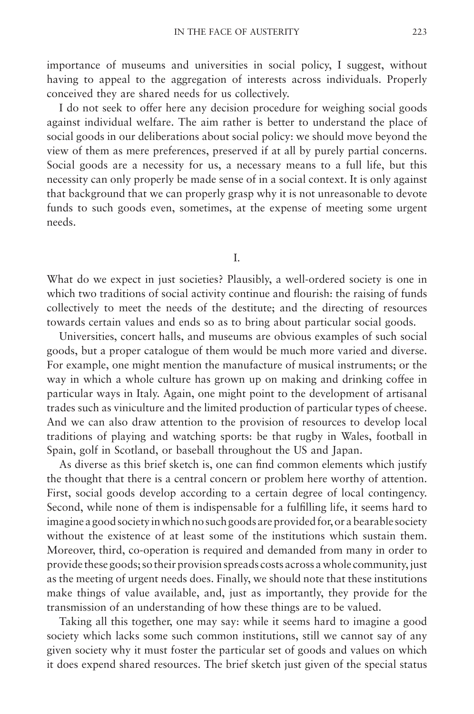importance of museums and universities in social policy, I suggest, without having to appeal to the aggregation of interests across individuals. Properly conceived they are shared needs for us collectively.

I do not seek to offer here any decision procedure for weighing social goods against individual welfare. The aim rather is better to understand the place of social goods in our deliberations about social policy: we should move beyond the view of them as mere preferences, preserved if at all by purely partial concerns. Social goods are a necessity for us, a necessary means to a full life, but this necessity can only properly be made sense of in a social context. It is only against that background that we can properly grasp why it is not unreasonable to devote funds to such goods even, sometimes, at the expense of meeting some urgent needs.

I.

What do we expect in just societies? Plausibly, a well-ordered society is one in which two traditions of social activity continue and flourish: the raising of funds collectively to meet the needs of the destitute; and the directing of resources towards certain values and ends so as to bring about particular social goods.

Universities, concert halls, and museums are obvious examples of such social goods, but a proper catalogue of them would be much more varied and diverse. For example, one might mention the manufacture of musical instruments; or the way in which a whole culture has grown up on making and drinking coffee in particular ways in Italy. Again, one might point to the development of artisanal trades such as viniculture and the limited production of particular types of cheese. And we can also draw attention to the provision of resources to develop local traditions of playing and watching sports: be that rugby in Wales, football in Spain, golf in Scotland, or baseball throughout the US and Japan.

As diverse as this brief sketch is, one can find common elements which justify the thought that there is a central concern or problem here worthy of attention. First, social goods develop according to a certain degree of local contingency. Second, while none of them is indispensable for a fulfilling life, it seems hard to imagine a good society in which no such goods are provided for, or a bearable society without the existence of at least some of the institutions which sustain them. Moreover, third, co-operation is required and demanded from many in order to provide these goods; so their provision spreads costs across a whole community, just as the meeting of urgent needs does. Finally, we should note that these institutions make things of value available, and, just as importantly, they provide for the transmission of an understanding of how these things are to be valued.

Taking all this together, one may say: while it seems hard to imagine a good society which lacks some such common institutions, still we cannot say of any given society why it must foster the particular set of goods and values on which it does expend shared resources. The brief sketch just given of the special status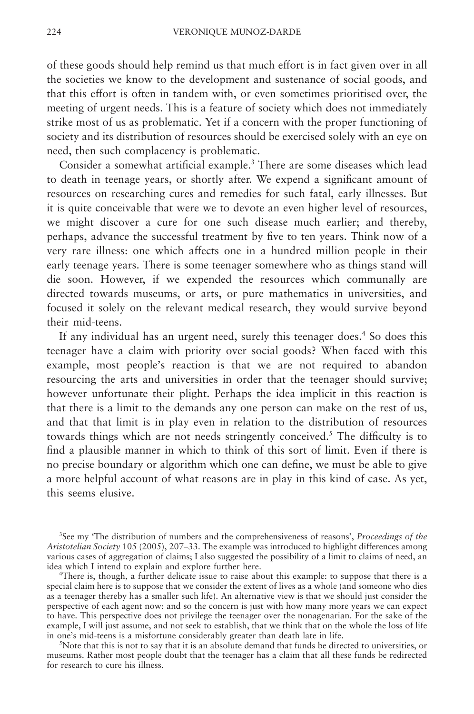of these goods should help remind us that much effort is in fact given over in all the societies we know to the development and sustenance of social goods, and that this effort is often in tandem with, or even sometimes prioritised over, the meeting of urgent needs. This is a feature of society which does not immediately strike most of us as problematic. Yet if a concern with the proper functioning of society and its distribution of resources should be exercised solely with an eye on need, then such complacency is problematic.

Consider a somewhat artificial example.<sup>3</sup> There are some diseases which lead to death in teenage years, or shortly after. We expend a significant amount of resources on researching cures and remedies for such fatal, early illnesses. But it is quite conceivable that were we to devote an even higher level of resources, we might discover a cure for one such disease much earlier; and thereby, perhaps, advance the successful treatment by five to ten years. Think now of a very rare illness: one which affects one in a hundred million people in their early teenage years. There is some teenager somewhere who as things stand will die soon. However, if we expended the resources which communally are directed towards museums, or arts, or pure mathematics in universities, and focused it solely on the relevant medical research, they would survive beyond their mid-teens.

If any individual has an urgent need, surely this teenager does.<sup>4</sup> So does this teenager have a claim with priority over social goods? When faced with this example, most people's reaction is that we are not required to abandon resourcing the arts and universities in order that the teenager should survive; however unfortunate their plight. Perhaps the idea implicit in this reaction is that there is a limit to the demands any one person can make on the rest of us, and that that limit is in play even in relation to the distribution of resources towards things which are not needs stringently conceived.<sup>5</sup> The difficulty is to find a plausible manner in which to think of this sort of limit. Even if there is no precise boundary or algorithm which one can define, we must be able to give a more helpful account of what reasons are in play in this kind of case. As yet, this seems elusive.

3 See my 'The distribution of numbers and the comprehensiveness of reasons', *Proceedings of the Aristotelian Society* 105 (2005), 207–33. The example was introduced to highlight differences among various cases of aggregation of claims; I also suggested the possibility of a limit to claims of need, an idea which I intend to explain and explore further here.

4 There is, though, a further delicate issue to raise about this example: to suppose that there is a special claim here is to suppose that we consider the extent of lives as a whole (and someone who dies as a teenager thereby has a smaller such life). An alternative view is that we should just consider the perspective of each agent now: and so the concern is just with how many more years we can expect to have. This perspective does not privilege the teenager over the nonagenarian. For the sake of the example, I will just assume, and not seek to establish, that we think that on the whole the loss of life in one's mid-teens is a misfortune considerably greater than death late in life.

5 Note that this is not to say that it is an absolute demand that funds be directed to universities, or museums. Rather most people doubt that the teenager has a claim that all these funds be redirected for research to cure his illness.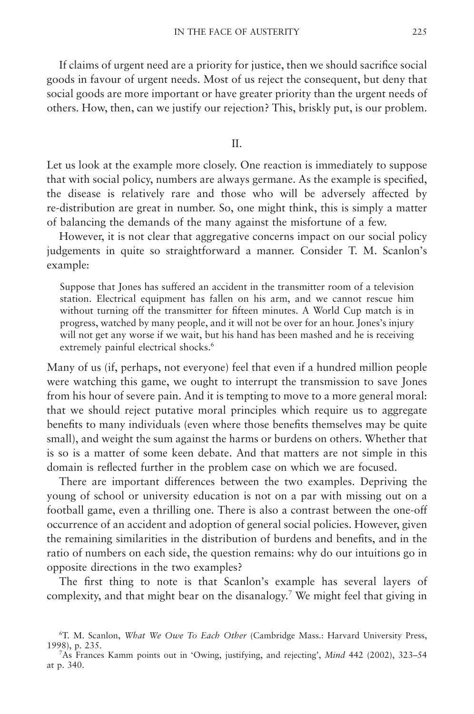If claims of urgent need are a priority for justice, then we should sacrifice social goods in favour of urgent needs. Most of us reject the consequent, but deny that social goods are more important or have greater priority than the urgent needs of others. How, then, can we justify our rejection? This, briskly put, is our problem.

II.

Let us look at the example more closely. One reaction is immediately to suppose that with social policy, numbers are always germane. As the example is specified, the disease is relatively rare and those who will be adversely affected by re-distribution are great in number. So, one might think, this is simply a matter of balancing the demands of the many against the misfortune of a few.

However, it is not clear that aggregative concerns impact on our social policy judgements in quite so straightforward a manner. Consider T. M. Scanlon's example:

Suppose that Jones has suffered an accident in the transmitter room of a television station. Electrical equipment has fallen on his arm, and we cannot rescue him without turning off the transmitter for fifteen minutes. A World Cup match is in progress, watched by many people, and it will not be over for an hour. Jones's injury will not get any worse if we wait, but his hand has been mashed and he is receiving extremely painful electrical shocks.<sup>6</sup>

Many of us (if, perhaps, not everyone) feel that even if a hundred million people were watching this game, we ought to interrupt the transmission to save Jones from his hour of severe pain. And it is tempting to move to a more general moral: that we should reject putative moral principles which require us to aggregate benefits to many individuals (even where those benefits themselves may be quite small), and weight the sum against the harms or burdens on others. Whether that is so is a matter of some keen debate. And that matters are not simple in this domain is reflected further in the problem case on which we are focused.

There are important differences between the two examples. Depriving the young of school or university education is not on a par with missing out on a football game, even a thrilling one. There is also a contrast between the one-off occurrence of an accident and adoption of general social policies. However, given the remaining similarities in the distribution of burdens and benefits, and in the ratio of numbers on each side, the question remains: why do our intuitions go in opposite directions in the two examples?

The first thing to note is that Scanlon's example has several layers of complexity, and that might bear on the disanalogy.<sup>7</sup> We might feel that giving in

<sup>6</sup> T. M. Scanlon, *What We Owe To Each Other* (Cambridge Mass.: Harvard University Press, 1998), p. 235.

<sup>7</sup> As Frances Kamm points out in 'Owing, justifying, and rejecting', *Mind* 442 (2002), 323–54 at p. 340.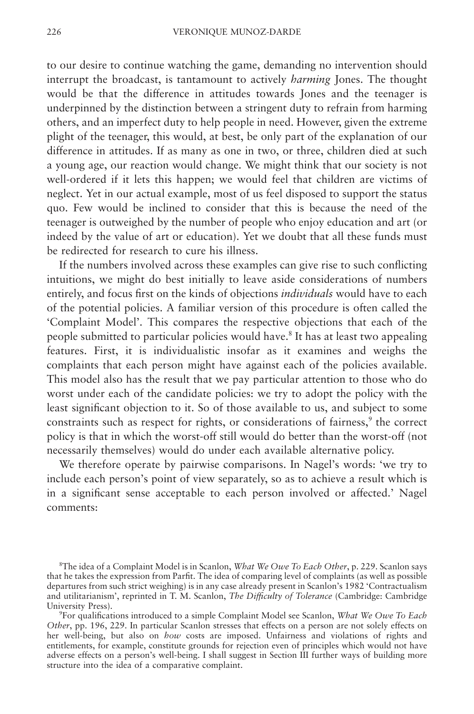to our desire to continue watching the game, demanding no intervention should interrupt the broadcast, is tantamount to actively *harming* Jones. The thought would be that the difference in attitudes towards Jones and the teenager is underpinned by the distinction between a stringent duty to refrain from harming others, and an imperfect duty to help people in need. However, given the extreme plight of the teenager, this would, at best, be only part of the explanation of our difference in attitudes. If as many as one in two, or three, children died at such a young age, our reaction would change. We might think that our society is not well-ordered if it lets this happen; we would feel that children are victims of neglect. Yet in our actual example, most of us feel disposed to support the status quo. Few would be inclined to consider that this is because the need of the teenager is outweighed by the number of people who enjoy education and art (or indeed by the value of art or education). Yet we doubt that all these funds must be redirected for research to cure his illness.

If the numbers involved across these examples can give rise to such conflicting intuitions, we might do best initially to leave aside considerations of numbers entirely, and focus first on the kinds of objections *individuals* would have to each of the potential policies. A familiar version of this procedure is often called the 'Complaint Model'. This compares the respective objections that each of the people submitted to particular policies would have.8 It has at least two appealing features. First, it is individualistic insofar as it examines and weighs the complaints that each person might have against each of the policies available. This model also has the result that we pay particular attention to those who do worst under each of the candidate policies: we try to adopt the policy with the least significant objection to it. So of those available to us, and subject to some constraints such as respect for rights, or considerations of fairness,<sup>9</sup> the correct policy is that in which the worst-off still would do better than the worst-off (not necessarily themselves) would do under each available alternative policy.

We therefore operate by pairwise comparisons. In Nagel's words: 'we try to include each person's point of view separately, so as to achieve a result which is in a significant sense acceptable to each person involved or affected.' Nagel comments:

<sup>8</sup> The idea of a Complaint Model is in Scanlon, *What We Owe To Each Other*, p. 229. Scanlon says that he takes the expression from Parfit. The idea of comparing level of complaints (as well as possible departures from such strict weighing) is in any case already present in Scanlon's 1982 'Contractualism and utilitarianism', reprinted in T. M. Scanlon, *The Difficulty of Tolerance* (Cambridge: Cambridge University Press).

<sup>9</sup> For qualifications introduced to a simple Complaint Model see Scanlon, *What We Owe To Each Other*, pp. 196, 229. In particular Scanlon stresses that effects on a person are not solely effects on her well-being, but also on *how* costs are imposed. Unfairness and violations of rights and entitlements, for example, constitute grounds for rejection even of principles which would not have adverse effects on a person's well-being. I shall suggest in Section III further ways of building more structure into the idea of a comparative complaint.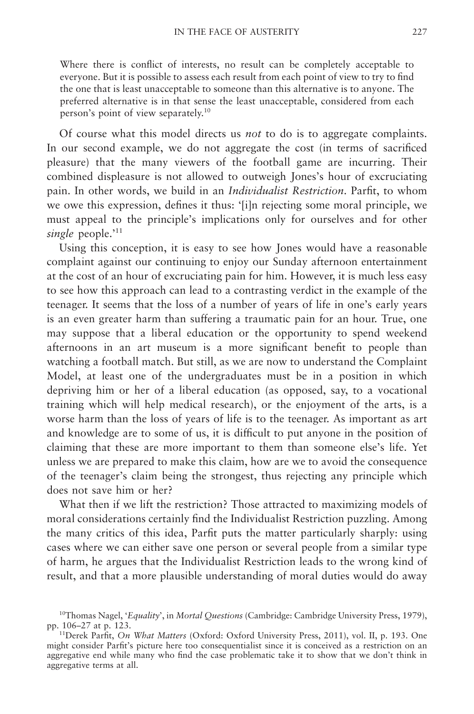Where there is conflict of interests, no result can be completely acceptable to everyone. But it is possible to assess each result from each point of view to try to find the one that is least unacceptable to someone than this alternative is to anyone. The preferred alternative is in that sense the least unacceptable, considered from each person's point of view separately.10

Of course what this model directs us *not* to do is to aggregate complaints. In our second example, we do not aggregate the cost (in terms of sacrificed pleasure) that the many viewers of the football game are incurring. Their combined displeasure is not allowed to outweigh Jones's hour of excruciating pain. In other words, we build in an *Individualist Restriction*. Parfit, to whom we owe this expression, defines it thus: '[i]n rejecting some moral principle, we must appeal to the principle's implications only for ourselves and for other single people.'<sup>11</sup>

Using this conception, it is easy to see how Jones would have a reasonable complaint against our continuing to enjoy our Sunday afternoon entertainment at the cost of an hour of excruciating pain for him. However, it is much less easy to see how this approach can lead to a contrasting verdict in the example of the teenager. It seems that the loss of a number of years of life in one's early years is an even greater harm than suffering a traumatic pain for an hour. True, one may suppose that a liberal education or the opportunity to spend weekend afternoons in an art museum is a more significant benefit to people than watching a football match. But still, as we are now to understand the Complaint Model, at least one of the undergraduates must be in a position in which depriving him or her of a liberal education (as opposed, say, to a vocational training which will help medical research), or the enjoyment of the arts, is a worse harm than the loss of years of life is to the teenager. As important as art and knowledge are to some of us, it is difficult to put anyone in the position of claiming that these are more important to them than someone else's life. Yet unless we are prepared to make this claim, how are we to avoid the consequence of the teenager's claim being the strongest, thus rejecting any principle which does not save him or her?

What then if we lift the restriction? Those attracted to maximizing models of moral considerations certainly find the Individualist Restriction puzzling. Among the many critics of this idea, Parfit puts the matter particularly sharply: using cases where we can either save one person or several people from a similar type of harm, he argues that the Individualist Restriction leads to the wrong kind of result, and that a more plausible understanding of moral duties would do away

<sup>10</sup>Thomas Nagel, '*Equality*', in *Mortal Questions* (Cambridge: Cambridge University Press, 1979), pp. 106–27 at p. 123.

<sup>11</sup>Derek Parfit, *On What Matters* (Oxford: Oxford University Press, 2011), vol. II, p. 193. One might consider Parfit's picture here too consequentialist since it is conceived as a restriction on an aggregative end while many who find the case problematic take it to show that we don't think in aggregative terms at all.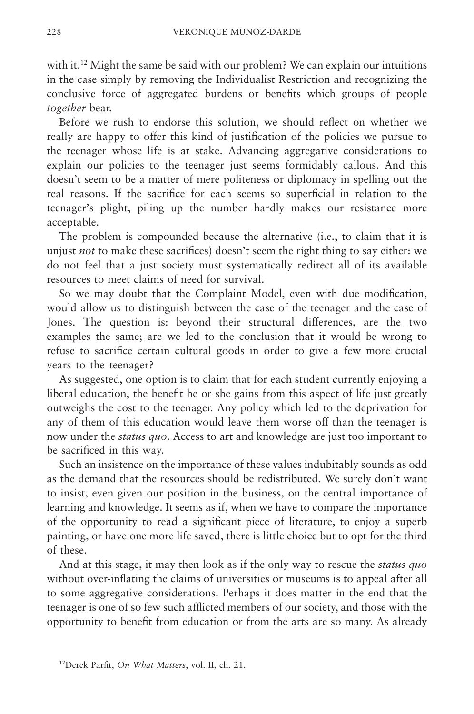with it.<sup>12</sup> Might the same be said with our problem? We can explain our intuitions in the case simply by removing the Individualist Restriction and recognizing the conclusive force of aggregated burdens or benefits which groups of people *together* bear.

Before we rush to endorse this solution, we should reflect on whether we really are happy to offer this kind of justification of the policies we pursue to the teenager whose life is at stake. Advancing aggregative considerations to explain our policies to the teenager just seems formidably callous. And this doesn't seem to be a matter of mere politeness or diplomacy in spelling out the real reasons. If the sacrifice for each seems so superficial in relation to the teenager's plight, piling up the number hardly makes our resistance more acceptable.

The problem is compounded because the alternative (i.e., to claim that it is unjust *not* to make these sacrifices) doesn't seem the right thing to say either: we do not feel that a just society must systematically redirect all of its available resources to meet claims of need for survival.

So we may doubt that the Complaint Model, even with due modification, would allow us to distinguish between the case of the teenager and the case of Jones. The question is: beyond their structural differences, are the two examples the same; are we led to the conclusion that it would be wrong to refuse to sacrifice certain cultural goods in order to give a few more crucial years to the teenager?

As suggested, one option is to claim that for each student currently enjoying a liberal education, the benefit he or she gains from this aspect of life just greatly outweighs the cost to the teenager. Any policy which led to the deprivation for any of them of this education would leave them worse off than the teenager is now under the *status quo*. Access to art and knowledge are just too important to be sacrificed in this way.

Such an insistence on the importance of these values indubitably sounds as odd as the demand that the resources should be redistributed. We surely don't want to insist, even given our position in the business, on the central importance of learning and knowledge. It seems as if, when we have to compare the importance of the opportunity to read a significant piece of literature, to enjoy a superb painting, or have one more life saved, there is little choice but to opt for the third of these.

And at this stage, it may then look as if the only way to rescue the *status quo* without over-inflating the claims of universities or museums is to appeal after all to some aggregative considerations. Perhaps it does matter in the end that the teenager is one of so few such afflicted members of our society, and those with the opportunity to benefit from education or from the arts are so many. As already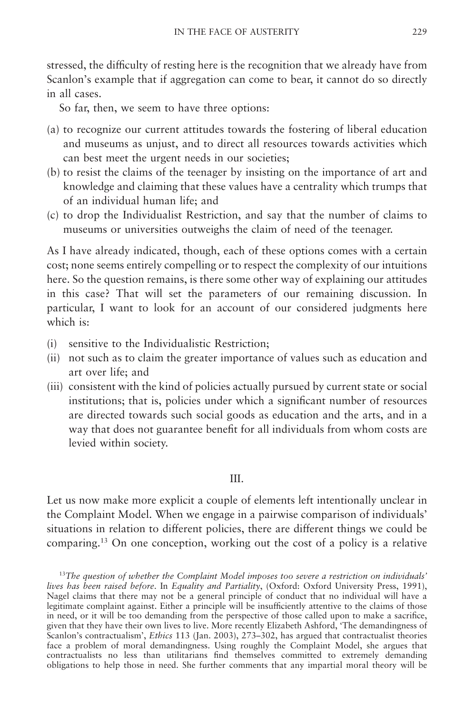stressed, the difficulty of resting here is the recognition that we already have from Scanlon's example that if aggregation can come to bear, it cannot do so directly in all cases.

So far, then, we seem to have three options:

- (a) to recognize our current attitudes towards the fostering of liberal education and museums as unjust, and to direct all resources towards activities which can best meet the urgent needs in our societies;
- (b) to resist the claims of the teenager by insisting on the importance of art and knowledge and claiming that these values have a centrality which trumps that of an individual human life; and
- (c) to drop the Individualist Restriction, and say that the number of claims to museums or universities outweighs the claim of need of the teenager.

As I have already indicated, though, each of these options comes with a certain cost; none seems entirely compelling or to respect the complexity of our intuitions here. So the question remains, is there some other way of explaining our attitudes in this case? That will set the parameters of our remaining discussion. In particular, I want to look for an account of our considered judgments here which is:

- (i) sensitive to the Individualistic Restriction;
- (ii) not such as to claim the greater importance of values such as education and art over life; and
- (iii) consistent with the kind of policies actually pursued by current state or social institutions; that is, policies under which a significant number of resources are directed towards such social goods as education and the arts, and in a way that does not guarantee benefit for all individuals from whom costs are levied within society.

#### III.

Let us now make more explicit a couple of elements left intentionally unclear in the Complaint Model. When we engage in a pairwise comparison of individuals' situations in relation to different policies, there are different things we could be comparing.13 On one conception, working out the cost of a policy is a relative

<sup>13</sup>*The question of whether the Complaint Model imposes too severe a restriction on individuals' lives has been raised before*. In *Equality and Partiality*, (Oxford: Oxford University Press, 1991), Nagel claims that there may not be a general principle of conduct that no individual will have a legitimate complaint against. Either a principle will be insufficiently attentive to the claims of those in need, or it will be too demanding from the perspective of those called upon to make a sacrifice, given that they have their own lives to live. More recently Elizabeth Ashford, 'The demandingness of Scanlon's contractualism', *Ethics* 113 (Jan. 2003), 273–302, has argued that contractualist theories face a problem of moral demandingness. Using roughly the Complaint Model, she argues that contractualists no less than utilitarians find themselves committed to extremely demanding obligations to help those in need. She further comments that any impartial moral theory will be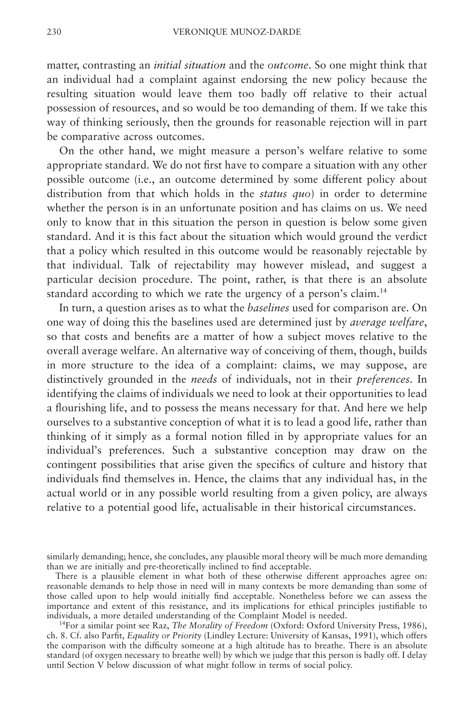matter, contrasting an *initial situation* and the *outcome*. So one might think that an individual had a complaint against endorsing the new policy because the resulting situation would leave them too badly off relative to their actual possession of resources, and so would be too demanding of them. If we take this way of thinking seriously, then the grounds for reasonable rejection will in part be comparative across outcomes.

On the other hand, we might measure a person's welfare relative to some appropriate standard. We do not first have to compare a situation with any other possible outcome (i.e., an outcome determined by some different policy about distribution from that which holds in the *status quo*) in order to determine whether the person is in an unfortunate position and has claims on us. We need only to know that in this situation the person in question is below some given standard. And it is this fact about the situation which would ground the verdict that a policy which resulted in this outcome would be reasonably rejectable by that individual. Talk of rejectability may however mislead, and suggest a particular decision procedure. The point, rather, is that there is an absolute standard according to which we rate the urgency of a person's claim.<sup>14</sup>

In turn, a question arises as to what the *baselines* used for comparison are. On one way of doing this the baselines used are determined just by *average welfare*, so that costs and benefits are a matter of how a subject moves relative to the overall average welfare. An alternative way of conceiving of them, though, builds in more structure to the idea of a complaint: claims, we may suppose, are distinctively grounded in the *needs* of individuals, not in their *preferences*. In identifying the claims of individuals we need to look at their opportunities to lead a flourishing life, and to possess the means necessary for that. And here we help ourselves to a substantive conception of what it is to lead a good life, rather than thinking of it simply as a formal notion filled in by appropriate values for an individual's preferences. Such a substantive conception may draw on the contingent possibilities that arise given the specifics of culture and history that individuals find themselves in. Hence, the claims that any individual has, in the actual world or in any possible world resulting from a given policy, are always relative to a potential good life, actualisable in their historical circumstances.

similarly demanding; hence, she concludes, any plausible moral theory will be much more demanding than we are initially and pre-theoretically inclined to find acceptable.

There is a plausible element in what both of these otherwise different approaches agree on: reasonable demands to help those in need will in many contexts be more demanding than some of those called upon to help would initially find acceptable. Nonetheless before we can assess the importance and extent of this resistance, and its implications for ethical principles justifiable to individuals, a more detailed understanding of the Complaint Model is needed.

<sup>14</sup>For a similar point see Raz, *The Morality of Freedom* (Oxford: Oxford University Press, 1986), ch. 8. Cf. also Parfit, *Equality or Priority* (Lindley Lecture: University of Kansas, 1991), which offers the comparison with the difficulty someone at a high altitude has to breathe. There is an absolute standard (of oxygen necessary to breathe well) by which we judge that this person is badly off. I delay until Section V below discussion of what might follow in terms of social policy.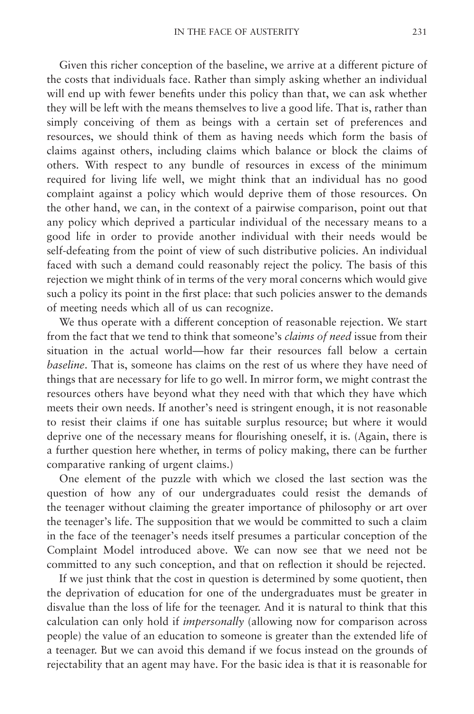Given this richer conception of the baseline, we arrive at a different picture of the costs that individuals face. Rather than simply asking whether an individual will end up with fewer benefits under this policy than that, we can ask whether they will be left with the means themselves to live a good life. That is, rather than simply conceiving of them as beings with a certain set of preferences and resources, we should think of them as having needs which form the basis of claims against others, including claims which balance or block the claims of others. With respect to any bundle of resources in excess of the minimum required for living life well, we might think that an individual has no good complaint against a policy which would deprive them of those resources. On the other hand, we can, in the context of a pairwise comparison, point out that any policy which deprived a particular individual of the necessary means to a good life in order to provide another individual with their needs would be self-defeating from the point of view of such distributive policies. An individual faced with such a demand could reasonably reject the policy. The basis of this rejection we might think of in terms of the very moral concerns which would give such a policy its point in the first place: that such policies answer to the demands of meeting needs which all of us can recognize.

We thus operate with a different conception of reasonable rejection. We start from the fact that we tend to think that someone's *claims of need* issue from their situation in the actual world—how far their resources fall below a certain *baseline*. That is, someone has claims on the rest of us where they have need of things that are necessary for life to go well. In mirror form, we might contrast the resources others have beyond what they need with that which they have which meets their own needs. If another's need is stringent enough, it is not reasonable to resist their claims if one has suitable surplus resource; but where it would deprive one of the necessary means for flourishing oneself, it is. (Again, there is a further question here whether, in terms of policy making, there can be further comparative ranking of urgent claims.)

One element of the puzzle with which we closed the last section was the question of how any of our undergraduates could resist the demands of the teenager without claiming the greater importance of philosophy or art over the teenager's life. The supposition that we would be committed to such a claim in the face of the teenager's needs itself presumes a particular conception of the Complaint Model introduced above. We can now see that we need not be committed to any such conception, and that on reflection it should be rejected.

If we just think that the cost in question is determined by some quotient, then the deprivation of education for one of the undergraduates must be greater in disvalue than the loss of life for the teenager. And it is natural to think that this calculation can only hold if *impersonally* (allowing now for comparison across people) the value of an education to someone is greater than the extended life of a teenager. But we can avoid this demand if we focus instead on the grounds of rejectability that an agent may have. For the basic idea is that it is reasonable for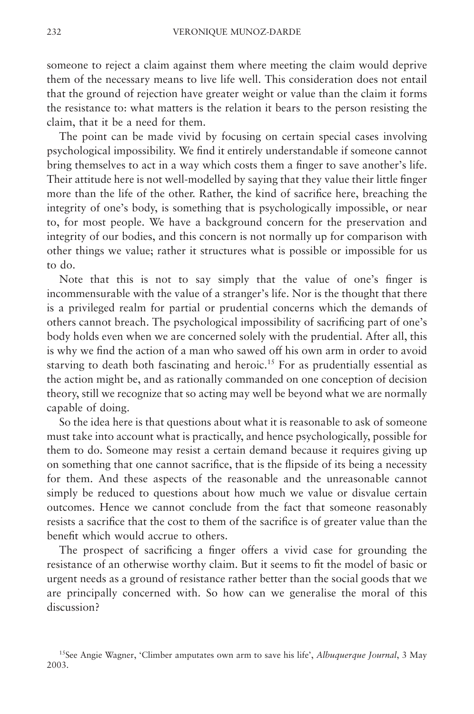someone to reject a claim against them where meeting the claim would deprive them of the necessary means to live life well. This consideration does not entail that the ground of rejection have greater weight or value than the claim it forms the resistance to: what matters is the relation it bears to the person resisting the claim, that it be a need for them.

The point can be made vivid by focusing on certain special cases involving psychological impossibility. We find it entirely understandable if someone cannot bring themselves to act in a way which costs them a finger to save another's life. Their attitude here is not well-modelled by saying that they value their little finger more than the life of the other. Rather, the kind of sacrifice here, breaching the integrity of one's body, is something that is psychologically impossible, or near to, for most people. We have a background concern for the preservation and integrity of our bodies, and this concern is not normally up for comparison with other things we value; rather it structures what is possible or impossible for us to do.

Note that this is not to say simply that the value of one's finger is incommensurable with the value of a stranger's life. Nor is the thought that there is a privileged realm for partial or prudential concerns which the demands of others cannot breach. The psychological impossibility of sacrificing part of one's body holds even when we are concerned solely with the prudential. After all, this is why we find the action of a man who sawed off his own arm in order to avoid starving to death both fascinating and heroic.<sup>15</sup> For as prudentially essential as the action might be, and as rationally commanded on one conception of decision theory, still we recognize that so acting may well be beyond what we are normally capable of doing.

So the idea here is that questions about what it is reasonable to ask of someone must take into account what is practically, and hence psychologically, possible for them to do. Someone may resist a certain demand because it requires giving up on something that one cannot sacrifice, that is the flipside of its being a necessity for them. And these aspects of the reasonable and the unreasonable cannot simply be reduced to questions about how much we value or disvalue certain outcomes. Hence we cannot conclude from the fact that someone reasonably resists a sacrifice that the cost to them of the sacrifice is of greater value than the benefit which would accrue to others.

The prospect of sacrificing a finger offers a vivid case for grounding the resistance of an otherwise worthy claim. But it seems to fit the model of basic or urgent needs as a ground of resistance rather better than the social goods that we are principally concerned with. So how can we generalise the moral of this discussion?

<sup>15</sup>See Angie Wagner, 'Climber amputates own arm to save his life', *Albuquerque Journal*, 3 May 2003.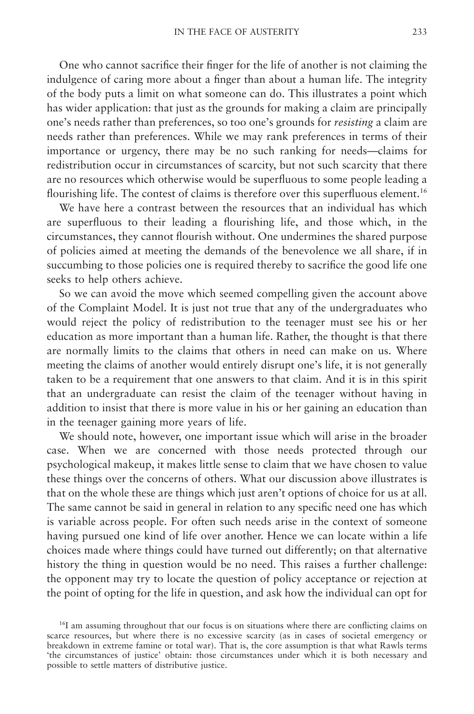One who cannot sacrifice their finger for the life of another is not claiming the indulgence of caring more about a finger than about a human life. The integrity of the body puts a limit on what someone can do. This illustrates a point which has wider application: that just as the grounds for making a claim are principally one's needs rather than preferences, so too one's grounds for *resisting* a claim are needs rather than preferences. While we may rank preferences in terms of their importance or urgency, there may be no such ranking for needs—claims for redistribution occur in circumstances of scarcity, but not such scarcity that there are no resources which otherwise would be superfluous to some people leading a flourishing life. The contest of claims is therefore over this superfluous element.<sup>16</sup>

We have here a contrast between the resources that an individual has which are superfluous to their leading a flourishing life, and those which, in the circumstances, they cannot flourish without. One undermines the shared purpose of policies aimed at meeting the demands of the benevolence we all share, if in succumbing to those policies one is required thereby to sacrifice the good life one seeks to help others achieve.

So we can avoid the move which seemed compelling given the account above of the Complaint Model. It is just not true that any of the undergraduates who would reject the policy of redistribution to the teenager must see his or her education as more important than a human life. Rather, the thought is that there are normally limits to the claims that others in need can make on us. Where meeting the claims of another would entirely disrupt one's life, it is not generally taken to be a requirement that one answers to that claim. And it is in this spirit that an undergraduate can resist the claim of the teenager without having in addition to insist that there is more value in his or her gaining an education than in the teenager gaining more years of life.

We should note, however, one important issue which will arise in the broader case. When we are concerned with those needs protected through our psychological makeup, it makes little sense to claim that we have chosen to value these things over the concerns of others. What our discussion above illustrates is that on the whole these are things which just aren't options of choice for us at all. The same cannot be said in general in relation to any specific need one has which is variable across people. For often such needs arise in the context of someone having pursued one kind of life over another. Hence we can locate within a life choices made where things could have turned out differently; on that alternative history the thing in question would be no need. This raises a further challenge: the opponent may try to locate the question of policy acceptance or rejection at the point of opting for the life in question, and ask how the individual can opt for

 $16$ I am assuming throughout that our focus is on situations where there are conflicting claims on scarce resources, but where there is no excessive scarcity (as in cases of societal emergency or breakdown in extreme famine or total war). That is, the core assumption is that what Rawls terms 'the circumstances of justice' obtain: those circumstances under which it is both necessary and possible to settle matters of distributive justice.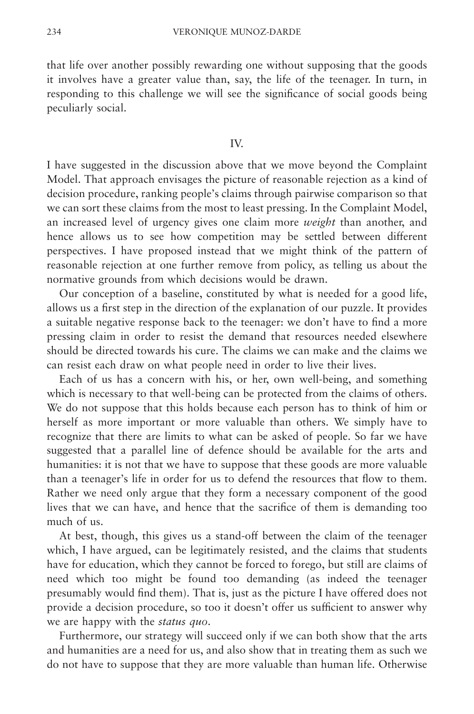that life over another possibly rewarding one without supposing that the goods it involves have a greater value than, say, the life of the teenager. In turn, in responding to this challenge we will see the significance of social goods being peculiarly social.

#### IV.

I have suggested in the discussion above that we move beyond the Complaint Model. That approach envisages the picture of reasonable rejection as a kind of decision procedure, ranking people's claims through pairwise comparison so that we can sort these claims from the most to least pressing. In the Complaint Model, an increased level of urgency gives one claim more *weight* than another, and hence allows us to see how competition may be settled between different perspectives. I have proposed instead that we might think of the pattern of reasonable rejection at one further remove from policy, as telling us about the normative grounds from which decisions would be drawn.

Our conception of a baseline, constituted by what is needed for a good life, allows us a first step in the direction of the explanation of our puzzle. It provides a suitable negative response back to the teenager: we don't have to find a more pressing claim in order to resist the demand that resources needed elsewhere should be directed towards his cure. The claims we can make and the claims we can resist each draw on what people need in order to live their lives.

Each of us has a concern with his, or her, own well-being, and something which is necessary to that well-being can be protected from the claims of others. We do not suppose that this holds because each person has to think of him or herself as more important or more valuable than others. We simply have to recognize that there are limits to what can be asked of people. So far we have suggested that a parallel line of defence should be available for the arts and humanities: it is not that we have to suppose that these goods are more valuable than a teenager's life in order for us to defend the resources that flow to them. Rather we need only argue that they form a necessary component of the good lives that we can have, and hence that the sacrifice of them is demanding too much of us.

At best, though, this gives us a stand-off between the claim of the teenager which, I have argued, can be legitimately resisted, and the claims that students have for education, which they cannot be forced to forego, but still are claims of need which too might be found too demanding (as indeed the teenager presumably would find them). That is, just as the picture I have offered does not provide a decision procedure, so too it doesn't offer us sufficient to answer why we are happy with the *status quo*.

Furthermore, our strategy will succeed only if we can both show that the arts and humanities are a need for us, and also show that in treating them as such we do not have to suppose that they are more valuable than human life. Otherwise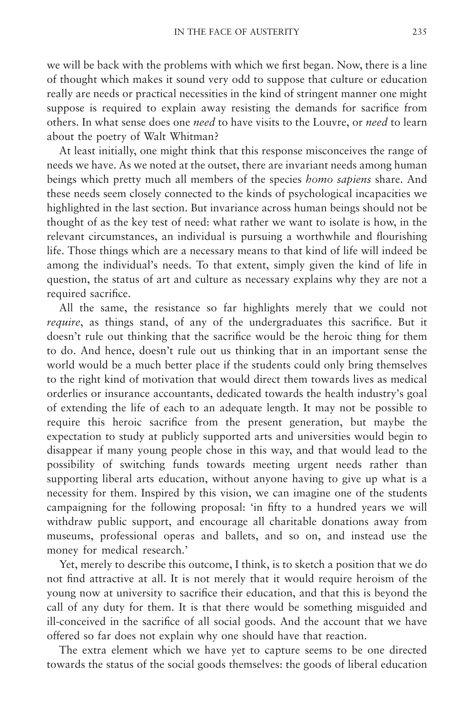we will be back with the problems with which we first began. Now, there is a line of thought which makes it sound very odd to suppose that culture or education really are needs or practical necessities in the kind of stringent manner one might suppose is required to explain away resisting the demands for sacrifice from others. In what sense does one *need* to have visits to the Louvre, or *need* to learn about the poetry of Walt Whitman?

At least initially, one might think that this response misconceives the range of needs we have. As we noted at the outset, there are invariant needs among human beings which pretty much all members of the species *homo sapiens* share. And these needs seem closely connected to the kinds of psychological incapacities we highlighted in the last section. But invariance across human beings should not be thought of as the key test of need: what rather we want to isolate is how, in the relevant circumstances, an individual is pursuing a worthwhile and flourishing life. Those things which are a necessary means to that kind of life will indeed be among the individual's needs. To that extent, simply given the kind of life in question, the status of art and culture as necessary explains why they are not a required sacrifice.

All the same, the resistance so far highlights merely that we could not *require*, as things stand, of any of the undergraduates this sacrifice. But it doesn't rule out thinking that the sacrifice would be the heroic thing for them to do. And hence, doesn't rule out us thinking that in an important sense the world would be a much better place if the students could only bring themselves to the right kind of motivation that would direct them towards lives as medical orderlies or insurance accountants, dedicated towards the health industry's goal of extending the life of each to an adequate length. It may not be possible to require this heroic sacrifice from the present generation, but maybe the expectation to study at publicly supported arts and universities would begin to disappear if many young people chose in this way, and that would lead to the possibility of switching funds towards meeting urgent needs rather than supporting liberal arts education, without anyone having to give up what is a necessity for them. Inspired by this vision, we can imagine one of the students campaigning for the following proposal: 'in fifty to a hundred years we will withdraw public support, and encourage all charitable donations away from museums, professional operas and ballets, and so on, and instead use the money for medical research.'

Yet, merely to describe this outcome, I think, is to sketch a position that we do not find attractive at all. It is not merely that it would require heroism of the young now at university to sacrifice their education, and that this is beyond the call of any duty for them. It is that there would be something misguided and ill-conceived in the sacrifice of all social goods. And the account that we have offered so far does not explain why one should have that reaction.

The extra element which we have yet to capture seems to be one directed towards the status of the social goods themselves: the goods of liberal education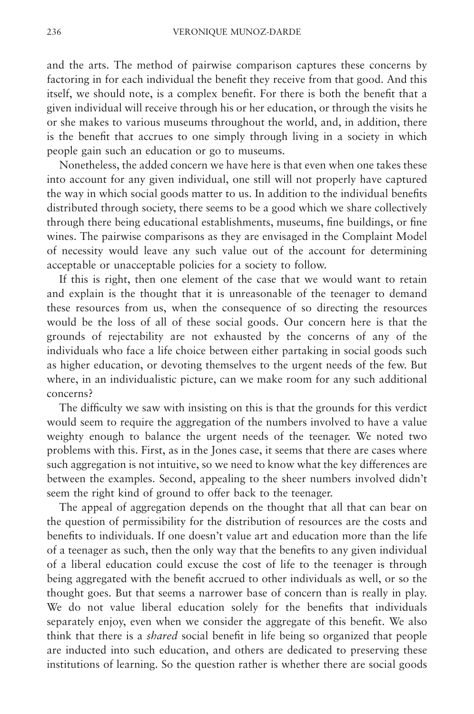and the arts. The method of pairwise comparison captures these concerns by factoring in for each individual the benefit they receive from that good. And this itself, we should note, is a complex benefit. For there is both the benefit that a given individual will receive through his or her education, or through the visits he or she makes to various museums throughout the world, and, in addition, there is the benefit that accrues to one simply through living in a society in which people gain such an education or go to museums.

Nonetheless, the added concern we have here is that even when one takes these into account for any given individual, one still will not properly have captured the way in which social goods matter to us. In addition to the individual benefits distributed through society, there seems to be a good which we share collectively through there being educational establishments, museums, fine buildings, or fine wines. The pairwise comparisons as they are envisaged in the Complaint Model of necessity would leave any such value out of the account for determining acceptable or unacceptable policies for a society to follow.

If this is right, then one element of the case that we would want to retain and explain is the thought that it is unreasonable of the teenager to demand these resources from us, when the consequence of so directing the resources would be the loss of all of these social goods. Our concern here is that the grounds of rejectability are not exhausted by the concerns of any of the individuals who face a life choice between either partaking in social goods such as higher education, or devoting themselves to the urgent needs of the few. But where, in an individualistic picture, can we make room for any such additional concerns?

The difficulty we saw with insisting on this is that the grounds for this verdict would seem to require the aggregation of the numbers involved to have a value weighty enough to balance the urgent needs of the teenager. We noted two problems with this. First, as in the Jones case, it seems that there are cases where such aggregation is not intuitive, so we need to know what the key differences are between the examples. Second, appealing to the sheer numbers involved didn't seem the right kind of ground to offer back to the teenager.

The appeal of aggregation depends on the thought that all that can bear on the question of permissibility for the distribution of resources are the costs and benefits to individuals. If one doesn't value art and education more than the life of a teenager as such, then the only way that the benefits to any given individual of a liberal education could excuse the cost of life to the teenager is through being aggregated with the benefit accrued to other individuals as well, or so the thought goes. But that seems a narrower base of concern than is really in play. We do not value liberal education solely for the benefits that individuals separately enjoy, even when we consider the aggregate of this benefit. We also think that there is a *shared* social benefit in life being so organized that people are inducted into such education, and others are dedicated to preserving these institutions of learning. So the question rather is whether there are social goods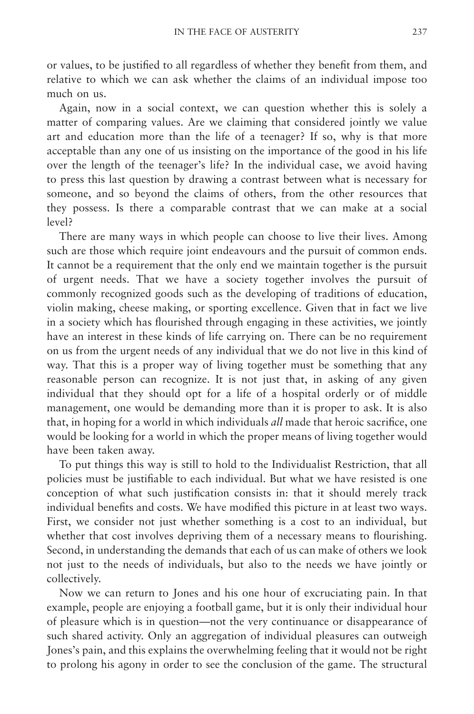or values, to be justified to all regardless of whether they benefit from them, and relative to which we can ask whether the claims of an individual impose too much on us.

Again, now in a social context, we can question whether this is solely a matter of comparing values. Are we claiming that considered jointly we value art and education more than the life of a teenager? If so, why is that more acceptable than any one of us insisting on the importance of the good in his life over the length of the teenager's life? In the individual case, we avoid having to press this last question by drawing a contrast between what is necessary for someone, and so beyond the claims of others, from the other resources that they possess. Is there a comparable contrast that we can make at a social level?

There are many ways in which people can choose to live their lives. Among such are those which require joint endeavours and the pursuit of common ends. It cannot be a requirement that the only end we maintain together is the pursuit of urgent needs. That we have a society together involves the pursuit of commonly recognized goods such as the developing of traditions of education, violin making, cheese making, or sporting excellence. Given that in fact we live in a society which has flourished through engaging in these activities, we jointly have an interest in these kinds of life carrying on. There can be no requirement on us from the urgent needs of any individual that we do not live in this kind of way. That this is a proper way of living together must be something that any reasonable person can recognize. It is not just that, in asking of any given individual that they should opt for a life of a hospital orderly or of middle management, one would be demanding more than it is proper to ask. It is also that, in hoping for a world in which individuals *all* made that heroic sacrifice, one would be looking for a world in which the proper means of living together would have been taken away.

To put things this way is still to hold to the Individualist Restriction, that all policies must be justifiable to each individual. But what we have resisted is one conception of what such justification consists in: that it should merely track individual benefits and costs. We have modified this picture in at least two ways. First, we consider not just whether something is a cost to an individual, but whether that cost involves depriving them of a necessary means to flourishing. Second, in understanding the demands that each of us can make of others we look not just to the needs of individuals, but also to the needs we have jointly or collectively.

Now we can return to Jones and his one hour of excruciating pain. In that example, people are enjoying a football game, but it is only their individual hour of pleasure which is in question—not the very continuance or disappearance of such shared activity. Only an aggregation of individual pleasures can outweigh Jones's pain, and this explains the overwhelming feeling that it would not be right to prolong his agony in order to see the conclusion of the game. The structural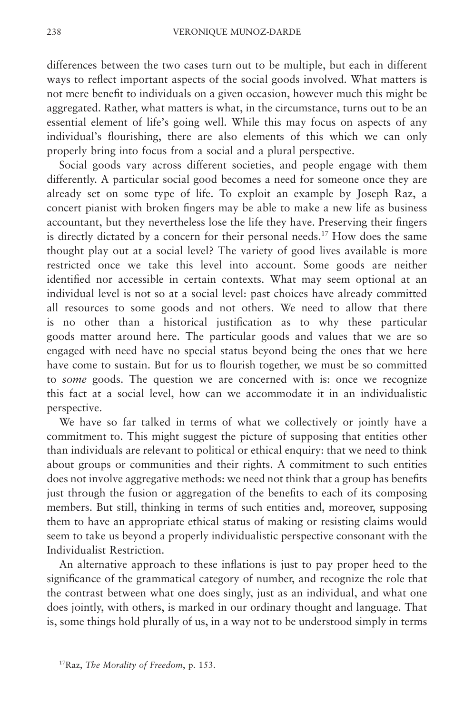differences between the two cases turn out to be multiple, but each in different ways to reflect important aspects of the social goods involved. What matters is not mere benefit to individuals on a given occasion, however much this might be aggregated. Rather, what matters is what, in the circumstance, turns out to be an essential element of life's going well. While this may focus on aspects of any individual's flourishing, there are also elements of this which we can only properly bring into focus from a social and a plural perspective.

Social goods vary across different societies, and people engage with them differently. A particular social good becomes a need for someone once they are already set on some type of life. To exploit an example by Joseph Raz, a concert pianist with broken fingers may be able to make a new life as business accountant, but they nevertheless lose the life they have. Preserving their fingers is directly dictated by a concern for their personal needs.17 How does the same thought play out at a social level? The variety of good lives available is more restricted once we take this level into account. Some goods are neither identified nor accessible in certain contexts. What may seem optional at an individual level is not so at a social level: past choices have already committed all resources to some goods and not others. We need to allow that there is no other than a historical justification as to why these particular goods matter around here. The particular goods and values that we are so engaged with need have no special status beyond being the ones that we here have come to sustain. But for us to flourish together, we must be so committed to *some* goods. The question we are concerned with is: once we recognize this fact at a social level, how can we accommodate it in an individualistic perspective.

We have so far talked in terms of what we collectively or jointly have a commitment to. This might suggest the picture of supposing that entities other than individuals are relevant to political or ethical enquiry: that we need to think about groups or communities and their rights. A commitment to such entities does not involve aggregative methods: we need not think that a group has benefits just through the fusion or aggregation of the benefits to each of its composing members. But still, thinking in terms of such entities and, moreover, supposing them to have an appropriate ethical status of making or resisting claims would seem to take us beyond a properly individualistic perspective consonant with the Individualist Restriction.

An alternative approach to these inflations is just to pay proper heed to the significance of the grammatical category of number, and recognize the role that the contrast between what one does singly, just as an individual, and what one does jointly, with others, is marked in our ordinary thought and language. That is, some things hold plurally of us, in a way not to be understood simply in terms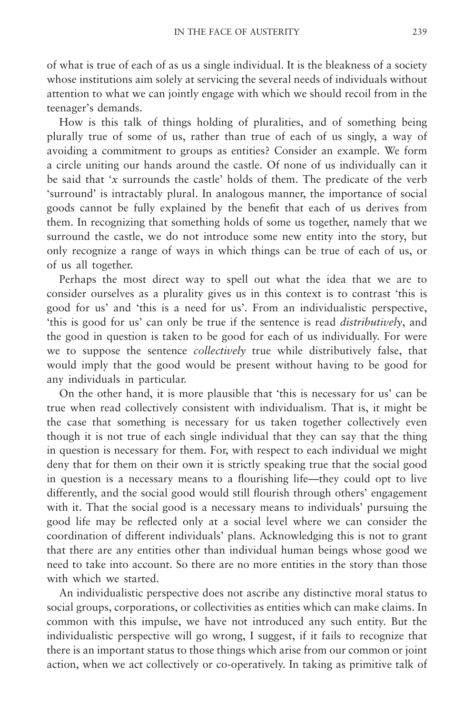of what is true of each of as us a single individual. It is the bleakness of a society whose institutions aim solely at servicing the several needs of individuals without attention to what we can jointly engage with which we should recoil from in the teenager's demands.

How is this talk of things holding of pluralities, and of something being plurally true of some of us, rather than true of each of us singly, a way of avoiding a commitment to groups as entities? Consider an example. We form a circle uniting our hands around the castle. Of none of us individually can it be said that '*x* surrounds the castle' holds of them. The predicate of the verb 'surround' is intractably plural. In analogous manner, the importance of social goods cannot be fully explained by the benefit that each of us derives from them. In recognizing that something holds of some us together, namely that we surround the castle, we do not introduce some new entity into the story, but only recognize a range of ways in which things can be true of each of us, or of us all together.

Perhaps the most direct way to spell out what the idea that we are to consider ourselves as a plurality gives us in this context is to contrast 'this is good for us' and 'this is a need for us'. From an individualistic perspective, 'this is good for us' can only be true if the sentence is read *distributively*, and the good in question is taken to be good for each of us individually. For were we to suppose the sentence *collectively* true while distributively false, that would imply that the good would be present without having to be good for any individuals in particular.

On the other hand, it is more plausible that 'this is necessary for us' can be true when read collectively consistent with individualism. That is, it might be the case that something is necessary for us taken together collectively even though it is not true of each single individual that they can say that the thing in question is necessary for them. For, with respect to each individual we might deny that for them on their own it is strictly speaking true that the social good in question is a necessary means to a flourishing life—they could opt to live differently, and the social good would still flourish through others' engagement with it. That the social good is a necessary means to individuals' pursuing the good life may be reflected only at a social level where we can consider the coordination of different individuals' plans. Acknowledging this is not to grant that there are any entities other than individual human beings whose good we need to take into account. So there are no more entities in the story than those with which we started.

An individualistic perspective does not ascribe any distinctive moral status to social groups, corporations, or collectivities as entities which can make claims. In common with this impulse, we have not introduced any such entity. But the individualistic perspective will go wrong, I suggest, if it fails to recognize that there is an important status to those things which arise from our common or joint action, when we act collectively or co-operatively. In taking as primitive talk of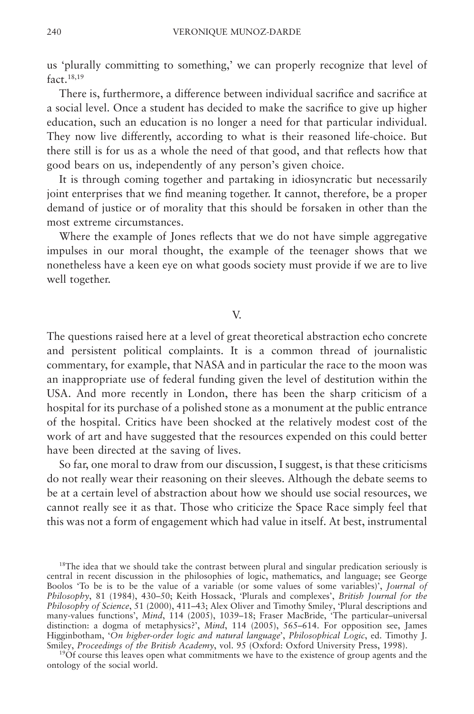us 'plurally committing to something,' we can properly recognize that level of fact.18,19

There is, furthermore, a difference between individual sacrifice and sacrifice at a social level. Once a student has decided to make the sacrifice to give up higher education, such an education is no longer a need for that particular individual. They now live differently, according to what is their reasoned life-choice. But there still is for us as a whole the need of that good, and that reflects how that good bears on us, independently of any person's given choice.

It is through coming together and partaking in idiosyncratic but necessarily joint enterprises that we find meaning together. It cannot, therefore, be a proper demand of justice or of morality that this should be forsaken in other than the most extreme circumstances.

Where the example of Jones reflects that we do not have simple aggregative impulses in our moral thought, the example of the teenager shows that we nonetheless have a keen eye on what goods society must provide if we are to live well together.

### V.

The questions raised here at a level of great theoretical abstraction echo concrete and persistent political complaints. It is a common thread of journalistic commentary, for example, that NASA and in particular the race to the moon was an inappropriate use of federal funding given the level of destitution within the USA. And more recently in London, there has been the sharp criticism of a hospital for its purchase of a polished stone as a monument at the public entrance of the hospital. Critics have been shocked at the relatively modest cost of the work of art and have suggested that the resources expended on this could better have been directed at the saving of lives.

So far, one moral to draw from our discussion, I suggest, is that these criticisms do not really wear their reasoning on their sleeves. Although the debate seems to be at a certain level of abstraction about how we should use social resources, we cannot really see it as that. Those who criticize the Space Race simply feel that this was not a form of engagement which had value in itself. At best, instrumental

<sup>18</sup>The idea that we should take the contrast between plural and singular predication seriously is central in recent discussion in the philosophies of logic, mathematics, and language; see George Boolos 'To be is to be the value of a variable (or some values of some variables)', *Journal of Philosophy*, 81 (1984), 430–50; Keith Hossack, 'Plurals and complexes', *British Journal for the Philosophy of Science*, 51 (2000), 411–43; Alex Oliver and Timothy Smiley, 'Plural descriptions and many-values functions', *Mind*, 114 (2005), 1039–18; Fraser MacBride, 'The particular–universal distinction: a dogma of metaphysics?', *Mind*, 114 (2005), 565–614. For opposition see, James Higginbotham, '*On higher-order logic and natural language*', *Philosophical Logic*, ed. Timothy J. Smiley, *Proceedings of the British Academy*, vol. 95 (Oxford: Oxford University Press, 1998).

 $19$ Of course this leaves open what commitments we have to the existence of group agents and the ontology of the social world.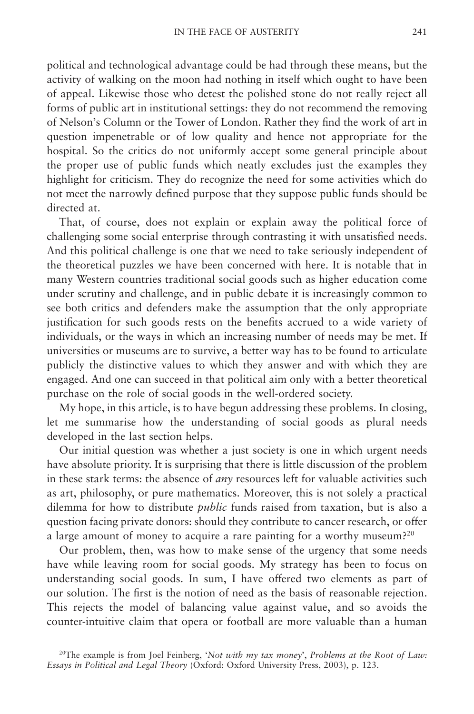political and technological advantage could be had through these means, but the activity of walking on the moon had nothing in itself which ought to have been of appeal. Likewise those who detest the polished stone do not really reject all forms of public art in institutional settings: they do not recommend the removing of Nelson's Column or the Tower of London. Rather they find the work of art in question impenetrable or of low quality and hence not appropriate for the hospital. So the critics do not uniformly accept some general principle about the proper use of public funds which neatly excludes just the examples they highlight for criticism. They do recognize the need for some activities which do not meet the narrowly defined purpose that they suppose public funds should be directed at.

That, of course, does not explain or explain away the political force of challenging some social enterprise through contrasting it with unsatisfied needs. And this political challenge is one that we need to take seriously independent of the theoretical puzzles we have been concerned with here. It is notable that in many Western countries traditional social goods such as higher education come under scrutiny and challenge, and in public debate it is increasingly common to see both critics and defenders make the assumption that the only appropriate justification for such goods rests on the benefits accrued to a wide variety of individuals, or the ways in which an increasing number of needs may be met. If universities or museums are to survive, a better way has to be found to articulate publicly the distinctive values to which they answer and with which they are engaged. And one can succeed in that political aim only with a better theoretical purchase on the role of social goods in the well-ordered society.

My hope, in this article, is to have begun addressing these problems. In closing, let me summarise how the understanding of social goods as plural needs developed in the last section helps.

Our initial question was whether a just society is one in which urgent needs have absolute priority. It is surprising that there is little discussion of the problem in these stark terms: the absence of *any* resources left for valuable activities such as art, philosophy, or pure mathematics. Moreover, this is not solely a practical dilemma for how to distribute *public* funds raised from taxation, but is also a question facing private donors: should they contribute to cancer research, or offer a large amount of money to acquire a rare painting for a worthy museum?<sup>20</sup>

Our problem, then, was how to make sense of the urgency that some needs have while leaving room for social goods. My strategy has been to focus on understanding social goods. In sum, I have offered two elements as part of our solution. The first is the notion of need as the basis of reasonable rejection. This rejects the model of balancing value against value, and so avoids the counter-intuitive claim that opera or football are more valuable than a human